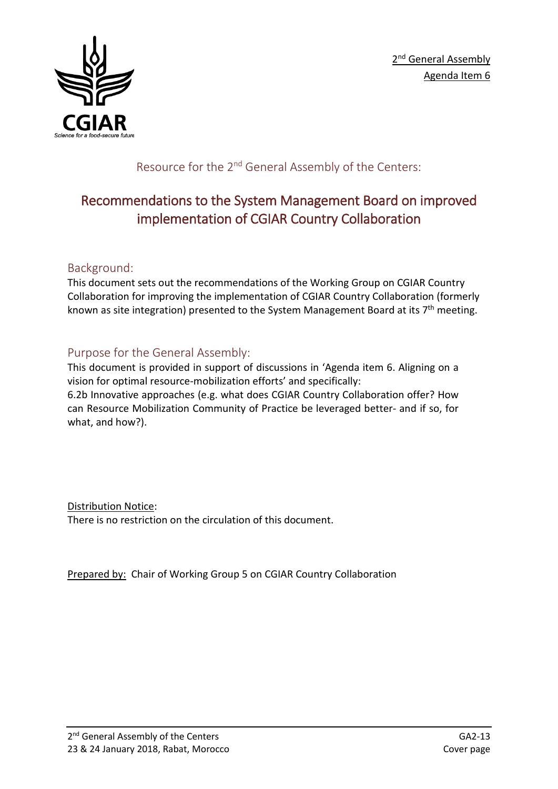

Resource for the 2<sup>nd</sup> General Assembly of the Centers:

# Recommendations to the System Management Board on improved implementation of CGIAR Country Collaboration

### Background:

This document sets out the recommendations of the Working Group on CGIAR Country Collaboration for improving the implementation of CGIAR Country Collaboration (formerly known as site integration) presented to the System Management Board at its  $7<sup>th</sup>$  meeting.

### Purpose for the General Assembly:

This document is provided in support of discussions in 'Agenda item 6. Aligning on a vision for optimal resource-mobilization efforts' and specifically: 6.2b Innovative approaches (e.g. what does CGIAR Country Collaboration offer? How can Resource Mobilization Community of Practice be leveraged better- and if so, for what, and how?).

Distribution Notice: There is no restriction on the circulation of this document.

Prepared by: Chair of Working Group 5 on CGIAR Country Collaboration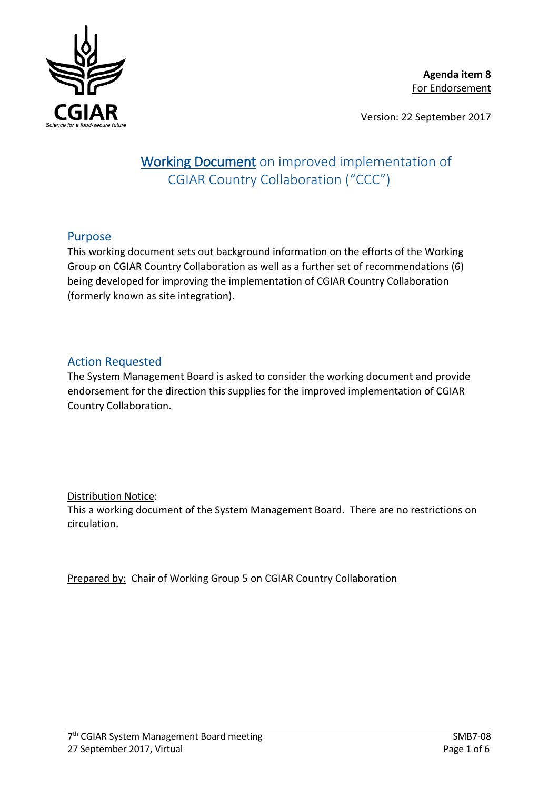

Version: 22 September 2017

## Working Document on improved implementation of CGIAR Country Collaboration ("CCC")

#### Purpose

This working document sets out background information on the efforts of the Working Group on CGIAR Country Collaboration as well as a further set of recommendations (6) being developed for improving the implementation of CGIAR Country Collaboration (formerly known as site integration).

#### Action Requested

The System Management Board is asked to consider the working document and provide endorsement for the direction this supplies for the improved implementation of CGIAR Country Collaboration.

#### Distribution Notice:

This a working document of the System Management Board. There are no restrictions on circulation.

Prepared by: Chair of Working Group 5 on CGIAR Country Collaboration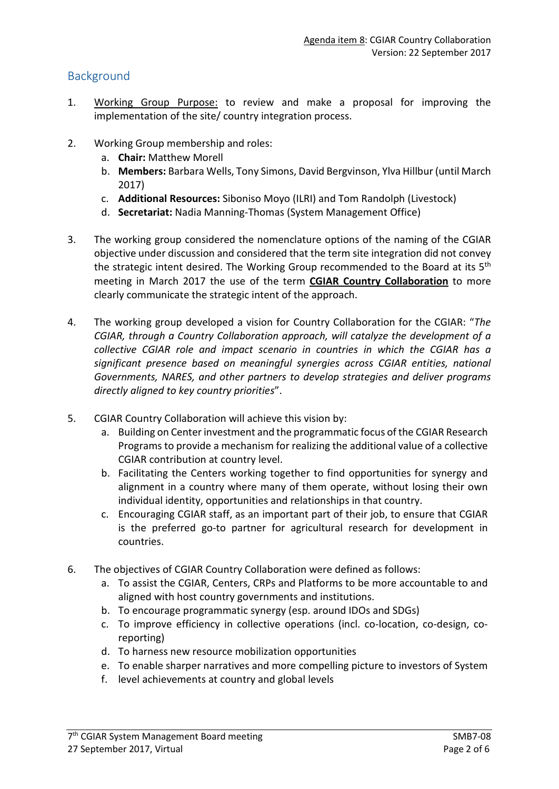#### **Background**

- 1. Working Group Purpose: to review and make a proposal for improving the implementation of the site/ country integration process.
- 2. Working Group membership and roles:
	- a. **Chair:** Matthew Morell
	- b. **Members:** Barbara Wells, Tony Simons, David Bergvinson, Ylva Hillbur (until March 2017)
	- c. **Additional Resources:** Siboniso Moyo (ILRI) and Tom Randolph (Livestock)
	- d. **Secretariat:** Nadia Manning-Thomas (System Management Office)
- 3. The working group considered the nomenclature options of the naming of the CGIAR objective under discussion and considered that the term site integration did not convey the strategic intent desired. The Working Group recommended to the Board at its 5<sup>th</sup> meeting in March 2017 the use of the term **CGIAR Country Collaboration** to more clearly communicate the strategic intent of the approach.
- 4. The working group developed a vision for Country Collaboration for the CGIAR: "*The CGIAR, through a Country Collaboration approach, will catalyze the development of a collective CGIAR role and impact scenario in countries in which the CGIAR has a significant presence based on meaningful synergies across CGIAR entities, national Governments, NARES, and other partners to develop strategies and deliver programs directly aligned to key country priorities*".
- 5. CGIAR Country Collaboration will achieve this vision by:
	- a. Building on Center investment and the programmatic focus of the CGIAR Research Programs to provide a mechanism for realizing the additional value of a collective CGIAR contribution at country level.
	- b. Facilitating the Centers working together to find opportunities for synergy and alignment in a country where many of them operate, without losing their own individual identity, opportunities and relationships in that country.
	- c. Encouraging CGIAR staff, as an important part of their job, to ensure that CGIAR is the preferred go-to partner for agricultural research for development in countries.
- 6. The objectives of CGIAR Country Collaboration were defined as follows:
	- a. To assist the CGIAR, Centers, CRPs and Platforms to be more accountable to and aligned with host country governments and institutions.
	- b. To encourage programmatic synergy (esp. around IDOs and SDGs)
	- c. To improve efficiency in collective operations (incl. co-location, co-design, coreporting)
	- d. To harness new resource mobilization opportunities
	- e. To enable sharper narratives and more compelling picture to investors of System
	- f. level achievements at country and global levels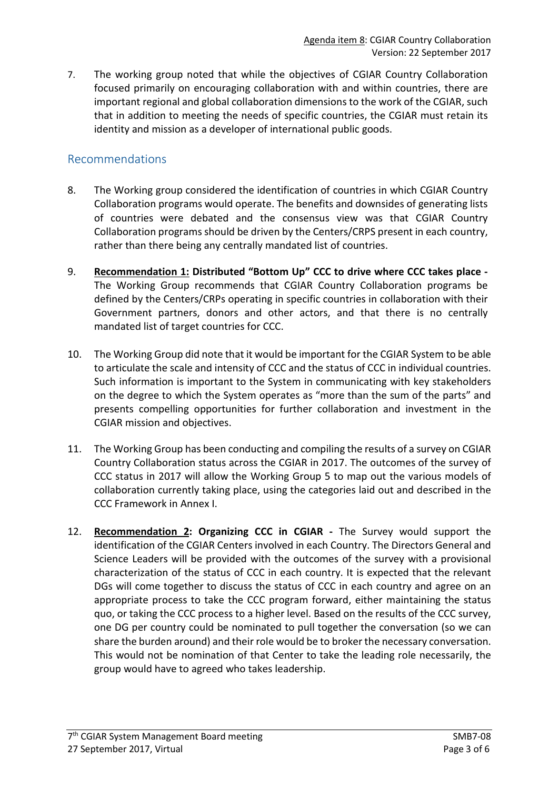7. The working group noted that while the objectives of CGIAR Country Collaboration focused primarily on encouraging collaboration with and within countries, there are important regional and global collaboration dimensions to the work of the CGIAR, such that in addition to meeting the needs of specific countries, the CGIAR must retain its identity and mission as a developer of international public goods.

#### Recommendations

- 8. The Working group considered the identification of countries in which CGIAR Country Collaboration programs would operate. The benefits and downsides of generating lists of countries were debated and the consensus view was that CGIAR Country Collaboration programs should be driven by the Centers/CRPS present in each country, rather than there being any centrally mandated list of countries.
- 9. **Recommendation 1: Distributed "Bottom Up" CCC to drive where CCC takes place -** The Working Group recommends that CGIAR Country Collaboration programs be defined by the Centers/CRPs operating in specific countries in collaboration with their Government partners, donors and other actors, and that there is no centrally mandated list of target countries for CCC.
- 10. The Working Group did note that it would be important for the CGIAR System to be able to articulate the scale and intensity of CCC and the status of CCC in individual countries. Such information is important to the System in communicating with key stakeholders on the degree to which the System operates as "more than the sum of the parts" and presents compelling opportunities for further collaboration and investment in the CGIAR mission and objectives.
- 11. The Working Group has been conducting and compiling the results of a survey on CGIAR Country Collaboration status across the CGIAR in 2017. The outcomes of the survey of CCC status in 2017 will allow the Working Group 5 to map out the various models of collaboration currently taking place, using the categories laid out and described in the CCC Framework in Annex I.
- 12. **Recommendation 2: Organizing CCC in CGIAR -** The Survey would support the identification of the CGIAR Centers involved in each Country. The Directors General and Science Leaders will be provided with the outcomes of the survey with a provisional characterization of the status of CCC in each country. It is expected that the relevant DGs will come together to discuss the status of CCC in each country and agree on an appropriate process to take the CCC program forward, either maintaining the status quo, or taking the CCC process to a higher level. Based on the results of the CCC survey, one DG per country could be nominated to pull together the conversation (so we can share the burden around) and their role would be to broker the necessary conversation. This would not be nomination of that Center to take the leading role necessarily, the group would have to agreed who takes leadership.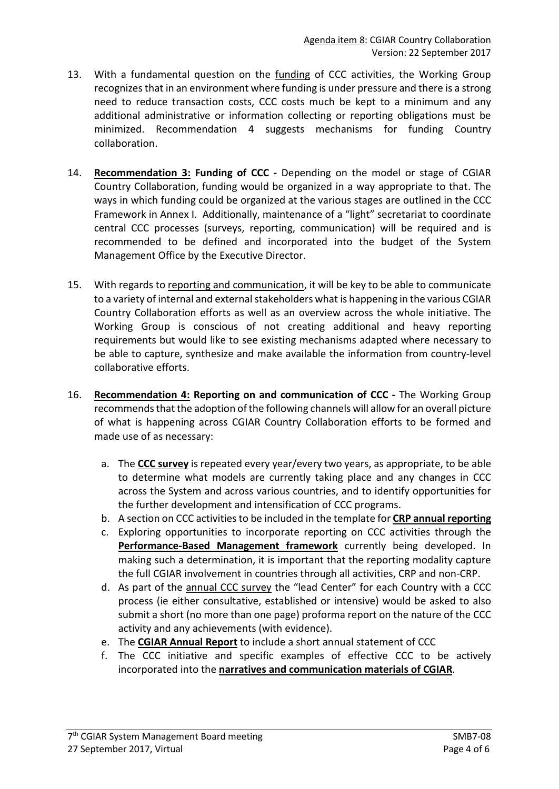- 13. With a fundamental question on the funding of CCC activities, the Working Group recognizes that in an environment where funding is under pressure and there is a strong need to reduce transaction costs, CCC costs much be kept to a minimum and any additional administrative or information collecting or reporting obligations must be minimized. Recommendation 4 suggests mechanisms for funding Country collaboration.
- 14. **Recommendation 3: Funding of CCC -** Depending on the model or stage of CGIAR Country Collaboration, funding would be organized in a way appropriate to that. The ways in which funding could be organized at the various stages are outlined in the CCC Framework in Annex I. Additionally, maintenance of a "light" secretariat to coordinate central CCC processes (surveys, reporting, communication) will be required and is recommended to be defined and incorporated into the budget of the System Management Office by the Executive Director.
- 15. With regards to reporting and communication, it will be key to be able to communicate to a variety of internal and external stakeholders what is happening in the various CGIAR Country Collaboration efforts as well as an overview across the whole initiative. The Working Group is conscious of not creating additional and heavy reporting requirements but would like to see existing mechanisms adapted where necessary to be able to capture, synthesize and make available the information from country-level collaborative efforts.
- 16. **Recommendation 4: Reporting on and communication of CCC -** The Working Group recommends that the adoption of the following channels will allow for an overall picture of what is happening across CGIAR Country Collaboration efforts to be formed and made use of as necessary:
	- a. The **CCC survey** is repeated every year/every two years, as appropriate, to be able to determine what models are currently taking place and any changes in CCC across the System and across various countries, and to identify opportunities for the further development and intensification of CCC programs.
	- b. A section on CCC activities to be included in the template for **CRP annual reporting**
	- c. Exploring opportunities to incorporate reporting on CCC activities through the **Performance-Based Management framework** currently being developed. In making such a determination, it is important that the reporting modality capture the full CGIAR involvement in countries through all activities, CRP and non-CRP.
	- d. As part of the annual CCC survey the "lead Center" for each Country with a CCC process (ie either consultative, established or intensive) would be asked to also submit a short (no more than one page) proforma report on the nature of the CCC activity and any achievements (with evidence).
	- e. The **CGIAR Annual Report** to include a short annual statement of CCC
	- f. The CCC initiative and specific examples of effective CCC to be actively incorporated into the **narratives and communication materials of CGIAR**.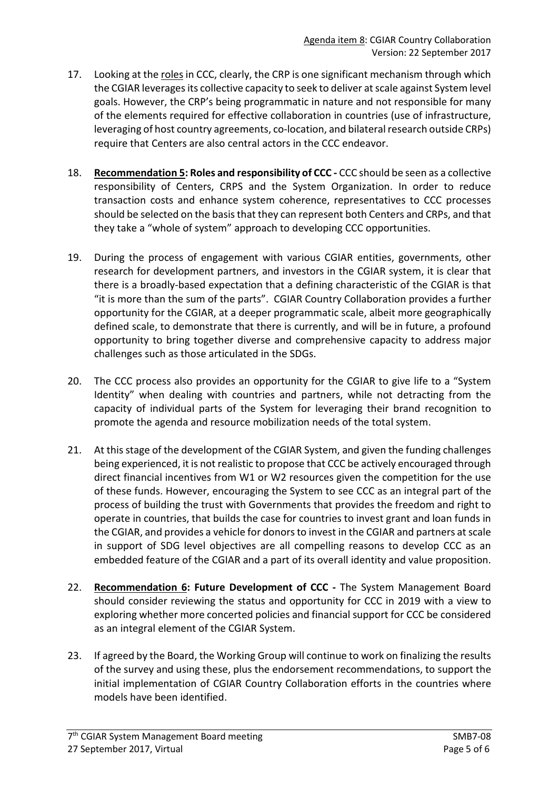- 17. Looking at the roles in CCC, clearly, the CRP is one significant mechanism through which the CGIAR leverages its collective capacity to seek to deliver at scale against System level goals. However, the CRP's being programmatic in nature and not responsible for many of the elements required for effective collaboration in countries (use of infrastructure, leveraging of host country agreements, co-location, and bilateral research outside CRPs) require that Centers are also central actors in the CCC endeavor.
- 18. **Recommendation 5: Roles and responsibility of CCC -** CCC should be seen as a collective responsibility of Centers, CRPS and the System Organization. In order to reduce transaction costs and enhance system coherence, representatives to CCC processes should be selected on the basis that they can represent both Centers and CRPs, and that they take a "whole of system" approach to developing CCC opportunities.
- 19. During the process of engagement with various CGIAR entities, governments, other research for development partners, and investors in the CGIAR system, it is clear that there is a broadly-based expectation that a defining characteristic of the CGIAR is that "it is more than the sum of the parts". CGIAR Country Collaboration provides a further opportunity for the CGIAR, at a deeper programmatic scale, albeit more geographically defined scale, to demonstrate that there is currently, and will be in future, a profound opportunity to bring together diverse and comprehensive capacity to address major challenges such as those articulated in the SDGs.
- 20. The CCC process also provides an opportunity for the CGIAR to give life to a "System Identity" when dealing with countries and partners, while not detracting from the capacity of individual parts of the System for leveraging their brand recognition to promote the agenda and resource mobilization needs of the total system.
- 21. At this stage of the development of the CGIAR System, and given the funding challenges being experienced, it is not realistic to propose that CCC be actively encouraged through direct financial incentives from W1 or W2 resources given the competition for the use of these funds. However, encouraging the System to see CCC as an integral part of the process of building the trust with Governments that provides the freedom and right to operate in countries, that builds the case for countries to invest grant and loan funds in the CGIAR, and provides a vehicle for donors to invest in the CGIAR and partners at scale in support of SDG level objectives are all compelling reasons to develop CCC as an embedded feature of the CGIAR and a part of its overall identity and value proposition.
- 22. **Recommendation 6: Future Development of CCC -** The System Management Board should consider reviewing the status and opportunity for CCC in 2019 with a view to exploring whether more concerted policies and financial support for CCC be considered as an integral element of the CGIAR System.
- 23. If agreed by the Board, the Working Group will continue to work on finalizing the results of the survey and using these, plus the endorsement recommendations, to support the initial implementation of CGIAR Country Collaboration efforts in the countries where models have been identified.